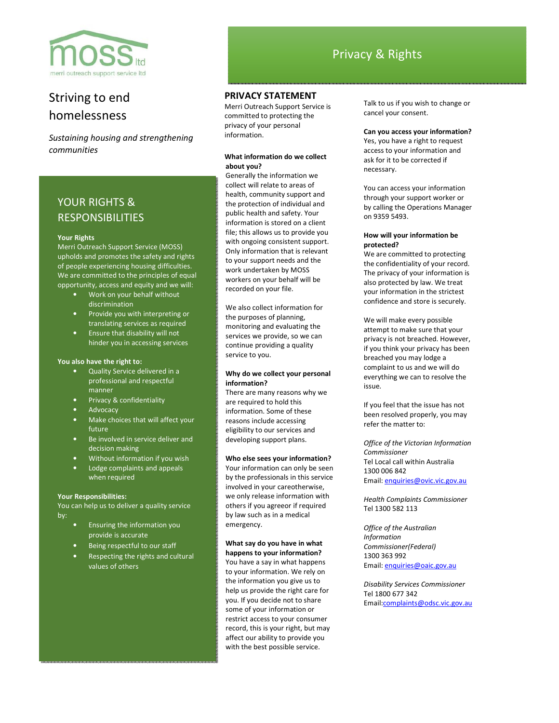

# Striving to end homelessness

*Sustaining housing and strengthening communities* 

# YOUR RIGHTS & RESPONSIBILITIES

#### **Your Rights**

Merri Outreach Support Service (MOSS) upholds and promotes the safety and rights of people experiencing housing difficulties. We are committed to the principles of equal opportunity, access and equity and we will:

- Work on your behalf without discrimination
- Provide you with interpreting or translating services as required
- Ensure that disability will not hinder you in accessing services

#### **You also have the right to:**

- Quality Service delivered in a professional and respectful manner
- Privacy & confidentiality
- **Advocacy**
- Make choices that will affect your future
- Be involved in service deliver and decision making
- Without information if you wish
- Lodge complaints and appeals when required

## **Your Responsibilities:**

You can help us to deliver a quality service by:

- Ensuring the information you provide is accurate
- Being respectful to our staff
- Respecting the rights and cultural values of others

## **PRIVACY STATEMENT**

Merri Outreach Support Service is committed to protecting the privacy of your personal information.

# **What information do we collect about you?**

Generally the information we collect will relate to areas of health, community support and the protection of individual and public health and safety. Your information is stored on a client file; this allows us to provide you with ongoing consistent support. Only information that is relevant to your support needs and the work undertaken by MOSS workers on your behalf will be recorded on your file.

We also collect information for the purposes of planning, monitoring and evaluating the services we provide, so we can continue providing a quality service to you.

### **Why do we collect your personal information?**

There are many reasons why we are required to hold this information. Some of these reasons include accessing eligibility to our services and developing support plans.

#### **Who else sees your information?**

Your information can only be seen by the professionals in this service involved in your careotherwise, we only release information with others if you agreeor if required by law such as in a medical emergency.

# **What say do you have in what happens to your information?**

You have a say in what happens to your information. We rely on the information you give us to help us provide the right care for you. If you decide not to share some of your information or restrict access to your consumer record, this is your right, but may affect our ability to provide you with the best possible service.

Talk to us if you wish to change or cancel your consent.

### **Can you access your information?**

Yes, you have a right to request access to your information and ask for it to be corrected if necessary.

You can access your information through your support worker or by calling the Operations Manager on 9359 5493.

## **How will your information be protected?**

We are committed to protecting the confidentiality of your record. The privacy of your information is also protected by law. We treat your information in the strictest confidence and store is securely.

We will make every possible attempt to make sure that your privacy is not breached. However, if you think your privacy has been breached you may lodge a complaint to us and we will do everything we can to resolve the issue.

If you feel that the issue has not been resolved properly, you may refer the matter to:

*Office of the Victorian Information Commissioner*  Tel Local call within Australia 1300 006 842 Email: enquiries@ovic.vic.gov.au

*Health Complaints Commissioner*  Tel 1300 582 113

*Office of the Australian Information Commissioner(Federal)*  1300 363 992 Email: enquiries@oaic.gov.au

*Disability Services Commissioner*  Tel 1800 677 342 Email:complaints@odsc.vic.gov.au

# Privacy & Rights